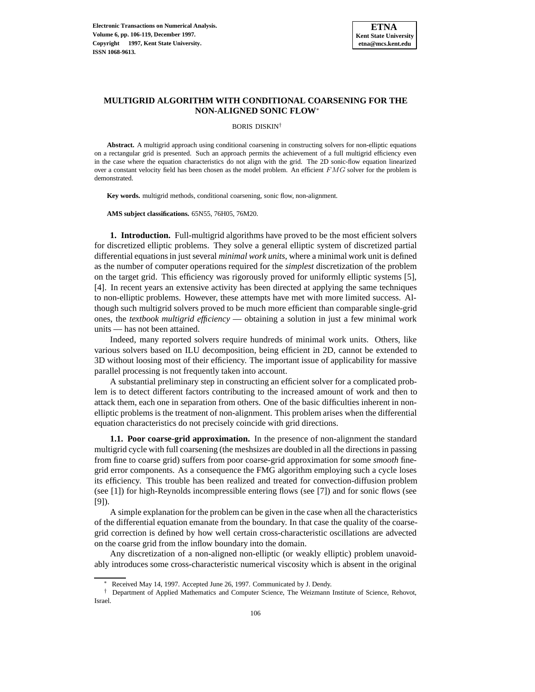

# **MULTIGRID ALGORITHM WITH CONDITIONAL COARSENING FOR THE NON-ALIGNED SONIC FLOW**<sup>∗</sup>

BORIS DISKIN†

**Abstract.** A multigrid approach using conditional coarsening in constructing solvers for non-elliptic equations on a rectangular grid is presented. Such an approach permits the achievement of a full multigrid efficiency even in the case where the equation characteristics do not align with the grid. The 2D sonic-flow equation linearized over a constant velocity field has been chosen as the model problem. An efficient  $FMG$  solver for the problem is demonstrated.

**Key words.** multigrid methods, conditional coarsening, sonic flow, non-alignment.

**AMS subject classifications.** 65N55, 76H05, 76M20.

**1. Introduction.** Full-multigrid algorithms have proved to be the most efficient solvers for discretized elliptic problems. They solve a general elliptic system of discretized partial differential equations in just several *minimal work units*, where a minimal work unit is defined as the number of computer operations required for the *simplest* discretization of the problem on the target grid. This efficiency was rigorously proved for uniformly elliptic systems [5], [4]. In recent years an extensive activity has been directed at applying the same techniques to non-elliptic problems. However, these attempts have met with more limited success. Although such multigrid solvers proved to be much more efficient than comparable single-grid ones, the *textbook multigrid efficiency* — obtaining a solution in just a few minimal work units — has not been attained.

Indeed, many reported solvers require hundreds of minimal work units. Others, like various solvers based on ILU decomposition, being efficient in 2D, cannot be extended to 3D without loosing most of their efficiency. The important issue of applicability for massive parallel processing is not frequently taken into account.

A substantial preliminary step in constructing an efficient solver for a complicated problem is to detect different factors contributing to the increased amount of work and then to attack them, each one in separation from others. One of the basic difficulties inherent in nonelliptic problems is the treatment of non-alignment. This problem arises when the differential equation characteristics do not precisely coincide with grid directions.

**1.1. Poor coarse-grid approximation.** In the presence of non-alignment the standard multigrid cycle with full coarsening (the meshsizes are doubled in all the directions in passing from fine to coarse grid) suffers from poor coarse-grid approximation for some *smooth* finegrid error components. As a consequence the FMG algorithm employing such a cycle loses its efficiency. This trouble has been realized and treated for convection-diffusion problem (see [1]) for high-Reynolds incompressible entering flows (see [7]) and for sonic flows (see [9]).

A simple explanation for the problem can be given in the case when all the characteristics of the differential equation emanate from the boundary. In that case the quality of the coarsegrid correction is defined by how well certain cross-characteristic oscillations are advected on the coarse grid from the inflow boundary into the domain.

Any discretization of a non-aligned non-elliptic (or weakly elliptic) problem unavoidably introduces some cross-characteristic numerical viscosity which is absent in the original

Received May 14, 1997. Accepted June 26, 1997. Communicated by J. Dendy.

<sup>†</sup> Department of Applied Mathematics and Computer Science, The Weizmann Institute of Science, Rehovot, Israel.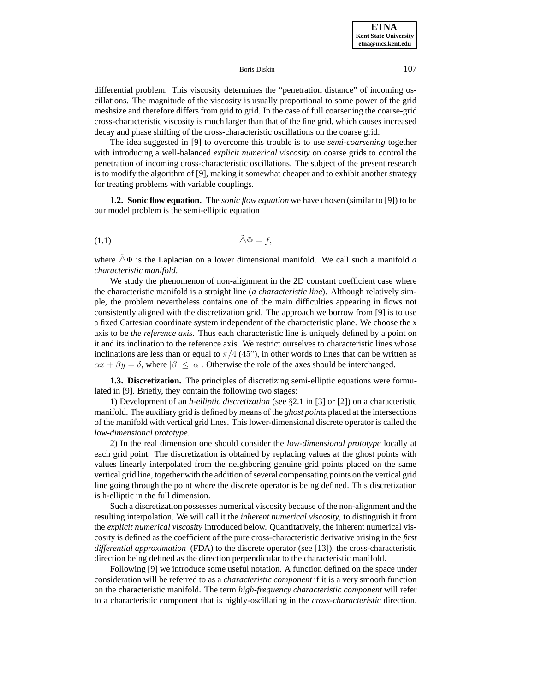differential problem. This viscosity determines the "penetration distance" of incoming oscillations. The magnitude of the viscosity is usually proportional to some power of the grid meshsize and therefore differs from grid to grid. In the case of full coarsening the coarse-grid cross-characteristic viscosity is much larger than that of the fine grid, which causes increased decay and phase shifting of the cross-characteristic oscillations on the coarse grid.

The idea suggested in [9] to overcome this trouble is to use *semi-coarsening* together with introducing a well-balanced *explicit numerical viscosity* on coarse grids to control the penetration of incoming cross-characteristic oscillations. The subject of the present research is to modify the algorithm of [9], making it somewhat cheaper and to exhibit another strategy for treating problems with variable couplings.

**1.2. Sonic flow equation.** The *sonic flow equation* we have chosen (similar to [9]) to be our model problem is the semi-elliptic equation

$$
\tilde{\triangle}\Phi = f,
$$

where  $\triangle \Phi$  is the Laplacian on a lower dimensional manifold. We call such a manifold *a characteristic manifold*.

We study the phenomenon of non-alignment in the 2D constant coefficient case where the characteristic manifold is a straight line (*a characteristic line*). Although relatively simple, the problem nevertheless contains one of the main difficulties appearing in flows not consistently aligned with the discretization grid. The approach we borrow from [9] is to use a fixed Cartesian coordinate system independent of the characteristic plane. We choose the *x* axis to be *the reference axis*. Thus each characteristic line is uniquely defined by a point on it and its inclination to the reference axis. We restrict ourselves to characteristic lines whose inclinations are less than or equal to  $\pi/4$  (45°), in other words to lines that can be written as  $\alpha x + \beta y = \delta$ , where  $|\beta| \leq |\alpha|$ . Otherwise the role of the axes should be interchanged.

**1.3. Discretization.** The principles of discretizing semi-elliptic equations were formulated in [9]. Briefly, they contain the following two stages:

1) Development of an *h-elliptic discretization* (see §2.1 in [3] or [2]) on a characteristic manifold. The auxiliary grid is defined by means of the *ghost points* placed at the intersections of the manifold with vertical grid lines. This lower-dimensional discrete operator is called the *low-dimensional prototype*.

2) In the real dimension one should consider the *low-dimensional prototype* locally at each grid point. The discretization is obtained by replacing values at the ghost points with values linearly interpolated from the neighboring genuine grid points placed on the same vertical grid line, together with the addition of several compensating points on the vertical grid line going through the point where the discrete operator is being defined. This discretization is h-elliptic in the full dimension.

Such a discretization possesses numerical viscosity because of the non-alignment and the resulting interpolation. We will call it the *inherent numerical viscosity*, to distinguish it from the *explicit numerical viscosity* introduced below. Quantitatively, the inherent numerical viscosity is defined as the coefficient of the pure cross-characteristic derivative arising in the *first differential approximation* (FDA) to the discrete operator (see [13]), the cross-characteristic direction being defined as the direction perpendicular to the characteristic manifold.

Following [9] we introduce some useful notation. A function defined on the space under consideration will be referred to as a *characteristic component* if it is a very smooth function on the characteristic manifold. The term *high-frequency characteristic component* will refer to a characteristic component that is highly-oscillating in the *cross-characteristic* direction.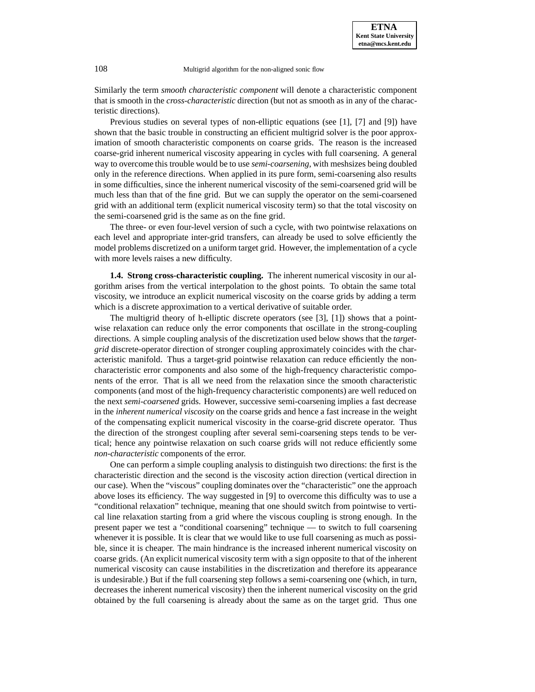Similarly the term *smooth characteristic component* will denote a characteristic component that is smooth in the *cross-characteristic* direction (but not as smooth as in any of the characteristic directions).

Previous studies on several types of non-elliptic equations (see [1], [7] and [9]) have shown that the basic trouble in constructing an efficient multigrid solver is the poor approximation of smooth characteristic components on coarse grids. The reason is the increased coarse-grid inherent numerical viscosity appearing in cycles with full coarsening. A general way to overcome this trouble would be to use *semi-coarsening*, with meshsizes being doubled only in the reference directions. When applied in its pure form, semi-coarsening also results in some difficulties, since the inherent numerical viscosity of the semi-coarsened grid will be much less than that of the fine grid. But we can supply the operator on the semi-coarsened grid with an additional term (explicit numerical viscosity term) so that the total viscosity on the semi-coarsened grid is the same as on the fine grid.

The three- or even four-level version of such a cycle, with two pointwise relaxations on each level and appropriate inter-grid transfers, can already be used to solve efficiently the model problems discretized on a uniform target grid. However, the implementation of a cycle with more levels raises a new difficulty.

**1.4. Strong cross-characteristic coupling.** The inherent numerical viscosity in our algorithm arises from the vertical interpolation to the ghost points. To obtain the same total viscosity, we introduce an explicit numerical viscosity on the coarse grids by adding a term which is a discrete approximation to a vertical derivative of suitable order.

The multigrid theory of h-elliptic discrete operators (see [3], [1]) shows that a pointwise relaxation can reduce only the error components that oscillate in the strong-coupling directions. A simple coupling analysis of the discretization used below shows that the *targetgrid* discrete-operator direction of stronger coupling approximately coincides with the characteristic manifold. Thus a target-grid pointwise relaxation can reduce efficiently the noncharacteristic error components and also some of the high-frequency characteristic components of the error. That is all we need from the relaxation since the smooth characteristic components (and most of the high-frequency characteristic components) are well reduced on the next *semi-coarsened* grids. However, successive semi-coarsening implies a fast decrease in the *inherent numerical viscosity* on the coarse grids and hence a fast increase in the weight of the compensating explicit numerical viscosity in the coarse-grid discrete operator. Thus the direction of the strongest coupling after several semi-coarsening steps tends to be vertical; hence any pointwise relaxation on such coarse grids will not reduce efficiently some *non-characteristic* components of the error.

One can perform a simple coupling analysis to distinguish two directions: the first is the characteristic direction and the second is the viscosity action direction (vertical direction in our case). When the "viscous" coupling dominates over the "characteristic" one the approach above loses its efficiency. The way suggested in [9] to overcome this difficulty was to use a "conditional relaxation" technique, meaning that one should switch from pointwise to vertical line relaxation starting from a grid where the viscous coupling is strong enough. In the present paper we test a "conditional coarsening" technique — to switch to full coarsening whenever it is possible. It is clear that we would like to use full coarsening as much as possible, since it is cheaper. The main hindrance is the increased inherent numerical viscosity on coarse grids. (An explicit numerical viscosity term with a sign opposite to that of the inherent numerical viscosity can cause instabilities in the discretization and therefore its appearance is undesirable.) But if the full coarsening step follows a semi-coarsening one (which, in turn, decreases the inherent numerical viscosity) then the inherent numerical viscosity on the grid obtained by the full coarsening is already about the same as on the target grid. Thus one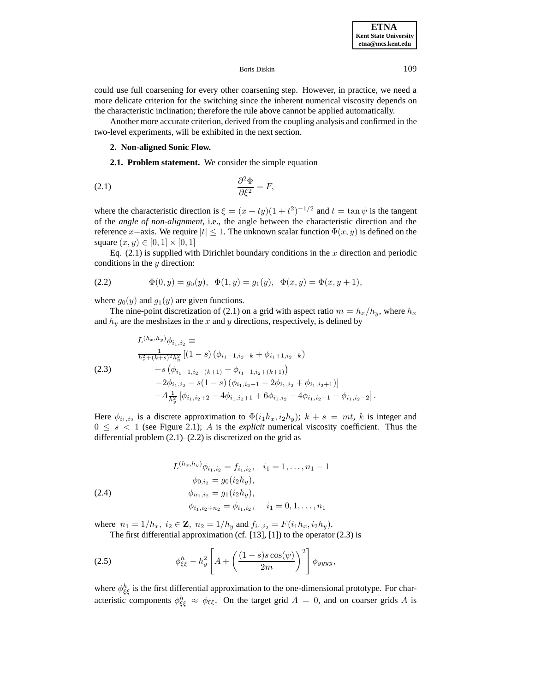could use full coarsening for every other coarsening step. However, in practice, we need a more delicate criterion for the switching since the inherent numerical viscosity depends on the characteristic inclination; therefore the rule above cannot be applied automatically.

Another more accurate criterion, derived from the coupling analysis and confirmed in the two-level experiments, will be exhibited in the next section.

## **2. Non-aligned Sonic Flow.**

## **2.1. Problem statement.** We consider the simple equation

$$
\frac{\partial^2 \Phi}{\partial \xi^2} = F,
$$

where the characteristic direction is  $\xi = (x + ty)(1 + t^2)^{-1/2}$  and  $t = \tan \psi$  is the tangent of the *angle of non-alignment*, i.e., the angle between the characteristic direction and the reference x−axis. We require  $|t| \leq 1$ . The unknown scalar function  $\Phi(x, y)$  is defined on the square  $(x, y) \in [0, 1] \times [0, 1]$ 

Eq.  $(2.1)$  is supplied with Dirichlet boundary conditions in the x direction and periodic conditions in the y direction:

(2.2) 
$$
\Phi(0, y) = g_0(y), \quad \Phi(1, y) = g_1(y), \quad \Phi(x, y) = \Phi(x, y + 1),
$$

where  $g_0(y)$  and  $g_1(y)$  are given functions.

The nine-point discretization of (2.1) on a grid with aspect ratio  $m = h_x/h_y$ , where  $h_x$ and  $h_y$  are the mesh sizes in the x and y directions, respectively, is defined by

$$
L^{(h_x, h_y)} \phi_{i_1, i_2} \equiv
$$
  
\n
$$
\frac{1}{h_x^2 + (k+s)^2 h_y^2} [(1-s) (\phi_{i_1-1, i_2-k} + \phi_{i_1+1, i_2+k})
$$
  
\n
$$
+ s (\phi_{i_1-1, i_2-(k+1)} + \phi_{i_1+1, i_2+(k+1)})
$$
  
\n
$$
-2\phi_{i_1, i_2} - s(1-s) (\phi_{i_1, i_2-1} - 2\phi_{i_1, i_2} + \phi_{i_1, i_2+1}) ]
$$
  
\n
$$
-A_{h_y^2}^{-1} [\phi_{i_1, i_2+2} - 4\phi_{i_1, i_2+1} + 6\phi_{i_1, i_2} - 4\phi_{i_1, i_2-1} + \phi_{i_1, i_2-2}].
$$

Here  $\phi_{i_1,i_2}$  is a discrete approximation to  $\Phi(i_1h_x,i_2h_y)$ ;  $k + s = mt$ , k is integer and  $0 \leq s < 1$  (see Figure 2.1); A is the *explicit* numerical viscosity coefficient. Thus the differential problem  $(2.1)$ – $(2.2)$  is discretized on the grid as

(2.4)  
\n
$$
L^{(h_x, h_y)} \phi_{i_1, i_2} = f_{i_1, i_2}, \quad i_1 = 1, \dots, n_1 - 1
$$
\n
$$
\phi_{0, i_2} = g_0(i_2 h_y),
$$
\n
$$
\phi_{n_1, i_2} = g_1(i_2 h_y),
$$
\n
$$
\phi_{i_1, i_2 + n_2} = \phi_{i_1, i_2}, \quad i_1 = 0, 1, \dots, n_1
$$

where  $n_1 = 1/h_x$ ,  $i_2 \in \mathbb{Z}$ ,  $n_2 = 1/h_y$  and  $f_{i_1,i_2} = F(i_1h_x, i_2h_y)$ . The first differential approximation (cf. [13], [1]) to the operator (2.3) is

(2.5) 
$$
\phi_{\xi\xi}^h - h_y^2 \left[ A + \left( \frac{(1-s)s \cos(\psi)}{2m} \right)^2 \right] \phi_{yyyy},
$$

where  $\phi_{\xi\xi}^h$  is the first differential approximation to the one-dimensional prototype. For characteristic components  $\phi_{\xi\xi}^h \approx \phi_{\xi\xi}$ . On the target grid  $A = 0$ , and on coarser grids A is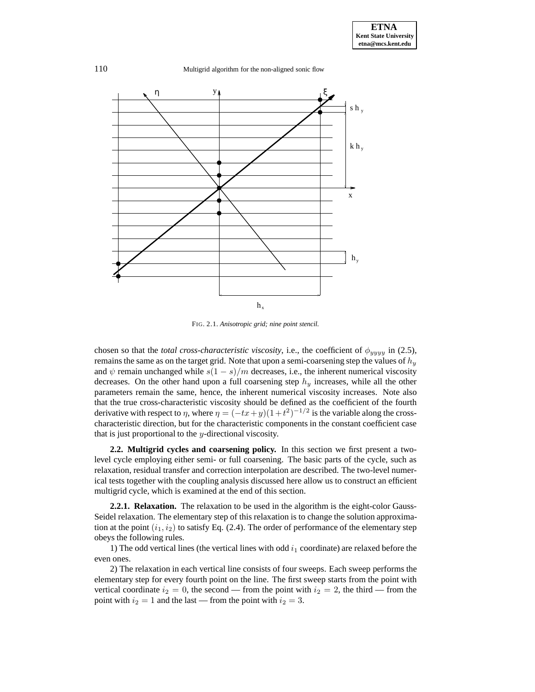110 Multigrid algorithm for the non-aligned sonic flow



FIG. 2.1. *Anisotropic grid; nine point stencil.*

chosen so that the *total cross-characteristic viscosity*, i.e., the coefficient of  $\phi_{yyyy}$  in (2.5), remains the same as on the target grid. Note that upon a semi-coarsening step the values of  $h_y$ and  $\psi$  remain unchanged while  $s(1-s)/m$  decreases, i.e., the inherent numerical viscosity decreases. On the other hand upon a full coarsening step  $h_y$  increases, while all the other parameters remain the same, hence, the inherent numerical viscosity increases. Note also that the true cross-characteristic viscosity should be defined as the coefficient of the fourth derivative with respect to  $\eta$ , where  $\eta = (-tx+y)(1+t^2)^{-1/2}$  is the variable along the crosscharacteristic direction, but for the characteristic components in the constant coefficient case that is just proportional to the  $y$ -directional viscosity.

**2.2. Multigrid cycles and coarsening policy.** In this section we first present a twolevel cycle employing either semi- or full coarsening. The basic parts of the cycle, such as relaxation, residual transfer and correction interpolation are described. The two-level numerical tests together with the coupling analysis discussed here allow us to construct an efficient multigrid cycle, which is examined at the end of this section.

**2.2.1. Relaxation.** The relaxation to be used in the algorithm is the eight-color Gauss-Seidel relaxation. The elementary step of this relaxation is to change the solution approximation at the point  $(i_1, i_2)$  to satisfy Eq. (2.4). The order of performance of the elementary step obeys the following rules.

1) The odd vertical lines (the vertical lines with odd  $i_1$  coordinate) are relaxed before the even ones.

2) The relaxation in each vertical line consists of four sweeps. Each sweep performs the elementary step for every fourth point on the line. The first sweep starts from the point with vertical coordinate  $i_2 = 0$ , the second — from the point with  $i_2 = 2$ , the third — from the point with  $i_2 = 1$  and the last — from the point with  $i_2 = 3$ .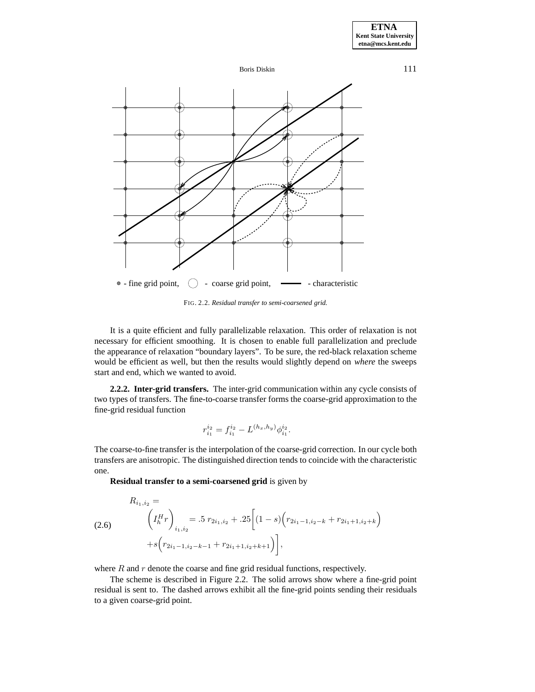



FIG. 2.2. *Residual transfer to semi-coarsened grid.*

It is a quite efficient and fully parallelizable relaxation. This order of relaxation is not necessary for efficient smoothing. It is chosen to enable full parallelization and preclude the appearance of relaxation "boundary layers". To be sure, the red-black relaxation scheme would be efficient as well, but then the results would slightly depend on *where* the sweeps start and end, which we wanted to avoid.

**2.2.2. Inter-grid transfers.** The inter-grid communication within any cycle consists of two types of transfers. The fine-to-coarse transfer forms the coarse-grid approximation to the fine-grid residual function

$$
r_{i_1}^{i_2} = f_{i_1}^{i_2} - L^{(h_x, h_y)} \phi_{i_1}^{i_2}.
$$

The coarse-to-fine transfer is the interpolation of the coarse-grid correction. In our cycle both transfers are anisotropic. The distinguished direction tends to coincide with the characteristic one.

**Residual transfer to a semi-coarsened grid** is given by

$$
R_{i_1,i_2} = \n\begin{pmatrix} I_h^H r \\ i_1, i_2 \end{pmatrix}_{i_1,i_2} = .5 \ r_{2i_1,i_2} + .25 \left[ (1-s) \left( r_{2i_1-1,i_2-k} + r_{2i_1+1,i_2+k} \right) + s \left( r_{2i_1-1,i_2-k-1} + r_{2i_1+1,i_2+k+1} \right) \right],
$$

where  $R$  and  $r$  denote the coarse and fine grid residual functions, respectively.

The scheme is described in Figure 2.2. The solid arrows show where a fine-grid point residual is sent to. The dashed arrows exhibit all the fine-grid points sending their residuals to a given coarse-grid point.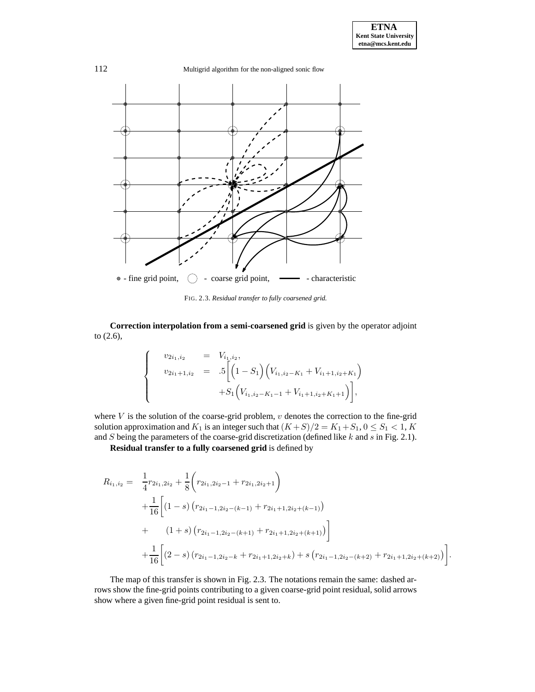

FIG. 2.3. *Residual transfer to fully coarsened grid.*

**Correction interpolation from a semi-coarsened grid** is given by the operator adjoint to (2.6),

$$
\begin{cases}\n v_{2i_1,i_2} &= V_{i_1,i_2}, \\
v_{2i_1+1,i_2} &= .5 \left[ \left( 1 - S_1 \right) \left( V_{i_1,i_2-K_1} + V_{i_1+1,i_2+K_1} \right) \right. \\
& \left. + S_1 \left( V_{i_1,i_2-K_1-1} + V_{i_1+1,i_2+K_1+1} \right) \right],\n\end{cases}
$$

where  $V$  is the solution of the coarse-grid problem,  $v$  denotes the correction to the fine-grid solution approximation and  $K_1$  is an integer such that  $(K+S)/2 = K_1 + S_1$ ,  $0 \leq S_1 < 1$ ,  $K$ and S being the parameters of the coarse-grid discretization (defined like k and s in Fig. 2.1).

**Residual transfer to a fully coarsened grid** is defined by

$$
R_{i_1,i_2} = \frac{1}{4}r_{2i_1,2i_2} + \frac{1}{8}\left(r_{2i_1,2i_2-1} + r_{2i_1,2i_2+1}\right) + \frac{1}{16}\left[ (1-s)\left(r_{2i_1-1,2i_2-(k-1)} + r_{2i_1+1,2i_2+(k-1)}\right) + (1+s)\left(r_{2i_1-1,2i_2-(k+1)} + r_{2i_1+1,2i_2+(k+1)}\right) \right] + \frac{1}{16}\left[ (2-s)\left(r_{2i_1-1,2i_2-k} + r_{2i_1+1,2i_2+k}\right) + s\left(r_{2i_1-1,2i_2-(k+2)} + r_{2i_1+1,2i_2+(k+2)}\right) \right].
$$

The map of this transfer is shown in Fig. 2.3. The notations remain the same: dashed arrows show the fine-grid points contributing to a given coarse-grid point residual, solid arrows show where a given fine-grid point residual is sent to.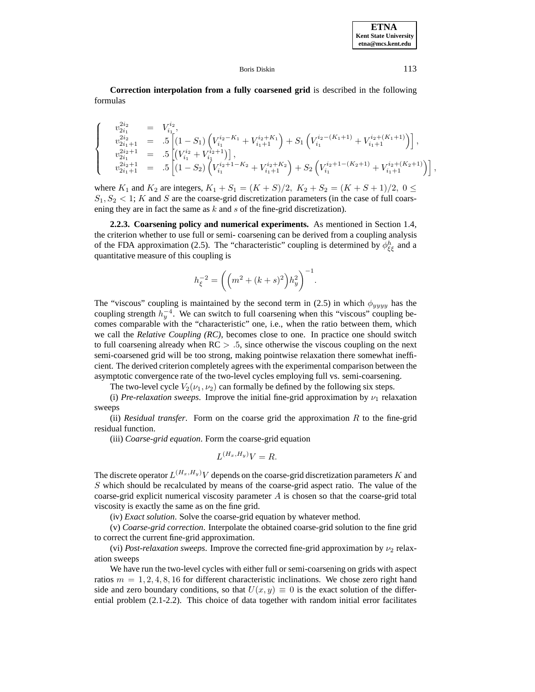**Correction interpolation from a fully coarsened grid** is described in the following formulas

$$
\label{eq:20} \begin{cases} \begin{array}{rcl} v_{2i_1}^{2i_2} &=& V_{i_1}^{i_2},\\ v_{2i_1+1}^{2i_2} &=& .5 \left[ (1-S_1) \left( V_{i_1}^{i_2-K_1} + V_{i_1+1}^{i_2+K_1} \right) + S_1 \left( V_{i_1}^{i_2-(K_1+1)} + V_{i_1+1}^{i_2+(K_1+1)} \right) \right],\\ v_{2i_1+1}^{2i_2+1} &=& .5 \left[ \left( V_{i_1}^{i_2} + V_{i_1}^{i_2+1} \right) \right],\\ v_{2i_1+1}^{2i_2+1} &=& .5 \left[ (1-S_2) \left( V_{i_1}^{i_2+1-K_2} + V_{i_1+1}^{i_2+K_2} \right) + S_2 \left( V_{i_1}^{i_2+1-(K_2+1)} + V_{i_1+1}^{i_2+(K_2+1)} \right) \right], \end{array} \end{cases}
$$

where  $K_1$  and  $K_2$  are integers,  $K_1 + S_1 = (K + S)/2$ ,  $K_2 + S_2 = (K + S + 1)/2$ ,  $0 \le$  $S_1, S_2 < 1$ ; K and S are the coarse-grid discretization parameters (in the case of full coarsening they are in fact the same as  $k$  and  $s$  of the fine-grid discretization).

**2.2.3. Coarsening policy and numerical experiments.** As mentioned in Section 1.4, the criterion whether to use full or semi- coarsening can be derived from a coupling analysis of the FDA approximation (2.5). The "characteristic" coupling is determined by  $\phi_{\xi\xi}^h$  and a quantitative measure of this coupling is

$$
h_{\xi}^{-2} = \left( \left( m^2 + (k+s)^2 \right) h_y^2 \right)^{-1}.
$$

The "viscous" coupling is maintained by the second term in (2.5) in which  $\phi_{yyy}$  has the coupling strength  $h_y^{-4}$ . We can switch to full coarsening when this "viscous" coupling becomes comparable with the "characteristic" one, i.e., when the ratio between them, which we call the *Relative Coupling (RC)*, becomes close to one. In practice one should switch to full coarsening already when  $RC > 0.5$ , since otherwise the viscous coupling on the next semi-coarsened grid will be too strong, making pointwise relaxation there somewhat inefficient. The derived criterion completely agrees with the experimental comparison between the asymptotic convergence rate of the two-level cycles employing full vs. semi-coarsening.

The two-level cycle  $V_2(\nu_1, \nu_2)$  can formally be defined by the following six steps.

(i) *Pre-relaxation sweeps*. Improve the initial fine-grid approximation by  $\nu_1$  relaxation sweeps

(ii) *Residual transfer*. Form on the coarse grid the approximation R to the fine-grid residual function.

(iii) *Coarse-grid equation*. Form the coarse-grid equation

$$
L^{(H_x,H_y)}V = R.
$$

The discrete operator  $L^{(H_x,H_y)}V$  depends on the coarse-grid discretization parameters K and S which should be recalculated by means of the coarse-grid aspect ratio. The value of the coarse-grid explicit numerical viscosity parameter  $A$  is chosen so that the coarse-grid total viscosity is exactly the same as on the fine grid.

(iv) *Exact solution*. Solve the coarse-grid equation by whatever method.

(v) *Coarse-grid correction*. Interpolate the obtained coarse-grid solution to the fine grid to correct the current fine-grid approximation.

(vi) *Post-relaxation sweeps*. Improve the corrected fine-grid approximation by  $\nu_2$  relaxation sweeps

We have run the two-level cycles with either full or semi-coarsening on grids with aspect ratios  $m = 1, 2, 4, 8, 16$  for different characteristic inclinations. We chose zero right hand side and zero boundary conditions, so that  $U(x, y) \equiv 0$  is the exact solution of the differential problem (2.1-2.2). This choice of data together with random initial error facilitates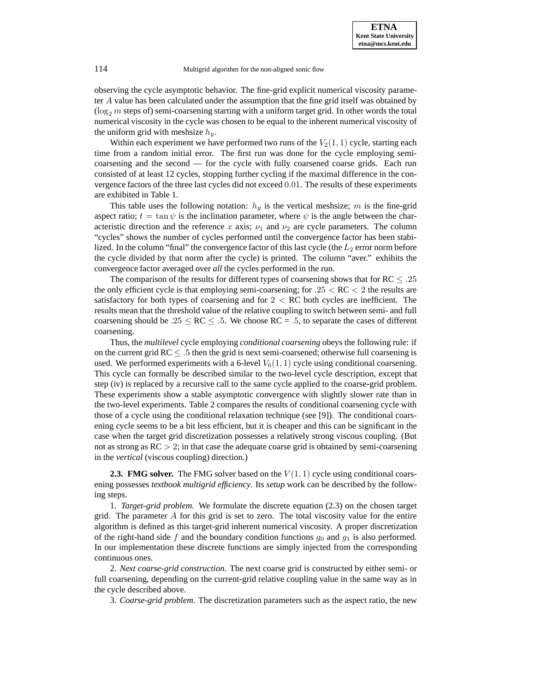observing the cycle asymptotic behavior. The fine-grid explicit numerical viscosity parameter A value has been calculated under the assumption that the fine grid itself was obtained by ( $\log_2 m$  steps of) semi-coarsening starting with a uniform target grid. In other words the total numerical viscosity in the cycle was chosen to be equal to the inherent numerical viscosity of the uniform grid with meshsize  $h_y$ .

Within each experiment we have performed two runs of the  $V_2(1, 1)$  cycle, starting each time from a random initial error. The first run was done for the cycle employing semicoarsening and the second — for the cycle with fully coarsened coarse grids. Each run consisted of at least 12 cycles, stopping further cycling if the maximal difference in the convergence factors of the three last cycles did not exceed 0.01. The results of these experiments are exhibited in Table 1.

This table uses the following notation:  $h_y$  is the vertical meshsize; m is the fine-grid aspect ratio;  $t = \tan \psi$  is the inclination parameter, where  $\psi$  is the angle between the characteristic direction and the reference x axis;  $\nu_1$  and  $\nu_2$  are cycle parameters. The column "cycles" shows the number of cycles performed until the convergence factor has been stabilized. In the column "final" the convergence factor of this last cycle (the  $L_2$  error norm before the cycle divided by that norm after the cycle) is printed. The column "aver." exhibits the convergence factor averaged over *all* the cycles performed in the run.

The comparison of the results for different types of coarsening shows that for  $RC \leq .25$ the only efficient cycle is that employing semi-coarsening; for  $.25 < RC < 2$  the results are satisfactory for both types of coarsening and for  $2 < RC$  both cycles are inefficient. The results mean that the threshold value of the relative coupling to switch between semi- and full coarsening should be .25  $\le$  RC  $\le$  .5. We choose RC = .5, to separate the cases of different coarsening.

Thus, the *multilevel* cycle employing *conditional coarsening* obeys the following rule: if on the current grid  $RC \leq .5$  then the grid is next semi-coarsened; otherwise full coarsening is used. We performed experiments with a 6-level  $V_6(1,1)$  cycle using conditional coarsening. This cycle can formally be described similar to the two-level cycle description, except that step (iv) is replaced by a recursive call to the same cycle applied to the coarse-grid problem. These experiments show a stable asymptotic convergence with slightly slower rate than in the two-level experiments. Table 2 compares the results of conditional coarsening cycle with those of a cycle using the conditional relaxation technique (see [9]). The conditional coarsening cycle seems to be a bit less efficient, but it is cheaper and this can be significant in the case when the target grid discretization possesses a relatively strong viscous coupling. (But not as strong as  $RC > 2$ ; in that case the adequate coarse grid is obtained by semi-coarsening in the *vertical* (viscous coupling) direction.)

**2.3. FMG solver.** The FMG solver based on the  $V(1, 1)$  cycle using conditional coarsening possesses *textbook multigrid efficiency*. Its *setup* work can be described by the following steps.

1. *Target-grid problem.* We formulate the discrete equation (2.3) on the chosen target grid. The parameter  $A$  for this grid is set to zero. The total viscosity value for the entire algorithm is defined as this target-grid inherent numerical viscosity. A proper discretization of the right-hand side f and the boundary condition functions  $g_0$  and  $g_1$  is also performed. In our implementation these discrete functions are simply injected from the corresponding continuous ones.

2. *Next coarse-grid construction.* The next coarse grid is constructed by either semi- or full coarsening, depending on the current-grid relative coupling value in the same way as in the cycle described above.

3. *Coarse-grid problem.* The discretization parameters such as the aspect ratio, the new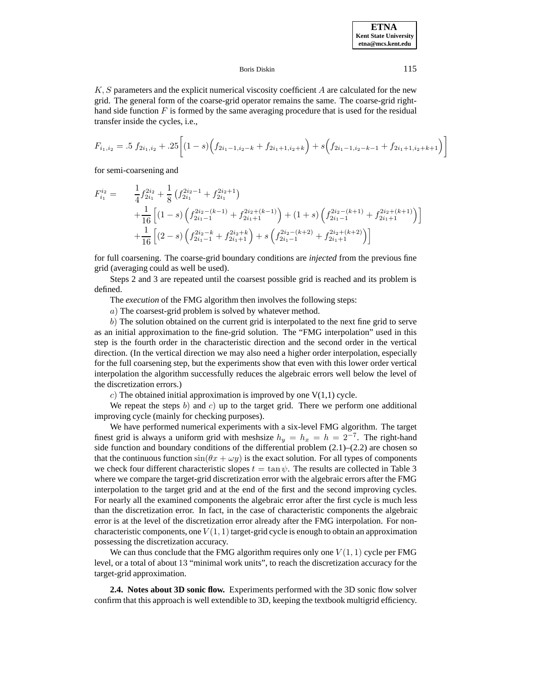$K, S$  parameters and the explicit numerical viscosity coefficient  $A$  are calculated for the new grid. The general form of the coarse-grid operator remains the same. The coarse-grid righthand side function  $F$  is formed by the same averaging procedure that is used for the residual transfer inside the cycles, i.e.,

$$
F_{i_1,i_2} = .5 f_{2i_1,i_2} + .25 \left[ (1-s) \left( f_{2i_1-1,i_2-k} + f_{2i_1+1,i_2+k} \right) + s \left( f_{2i_1-1,i_2-k-1} + f_{2i_1+1,i_2+k+1} \right) \right]
$$

for semi-coarsening and

$$
F_{i_1}^{i_2} = \frac{1}{4} f_{2i_1}^{2i_2} + \frac{1}{8} \left( f_{2i_1}^{2i_2 - 1} + f_{2i_1}^{2i_2 + 1} \right)
$$
  
+ 
$$
\frac{1}{16} \left[ (1 - s) \left( f_{2i_1 - 1}^{2i_2 - (k-1)} + f_{2i_1 + 1}^{2i_2 + (k-1)} \right) + (1 + s) \left( f_{2i_1 - 1}^{2i_2 - (k+1)} + f_{2i_1 + 1}^{2i_2 + (k+1)} \right) \right]
$$
  
+ 
$$
\frac{1}{16} \left[ (2 - s) \left( f_{2i_1 - 1}^{2i_2 - k} + f_{2i_1 + 1}^{2i_2 + k} \right) + s \left( f_{2i_1 - 1}^{2i_2 - (k+2)} + f_{2i_1 + 1}^{2i_2 + (k+2)} \right) \right]
$$

for full coarsening. The coarse-grid boundary conditions are *injected* from the previous fine grid (averaging could as well be used).

Steps 2 and 3 are repeated until the coarsest possible grid is reached and its problem is defined.

The *execution* of the FMG algorithm then involves the following steps:

a) The coarsest-grid problem is solved by whatever method.

b) The solution obtained on the current grid is interpolated to the next fine grid to serve as an initial approximation to the fine-grid solution. The "FMG interpolation" used in this step is the fourth order in the characteristic direction and the second order in the vertical direction. (In the vertical direction we may also need a higher order interpolation, especially for the full coarsening step, but the experiments show that even with this lower order vertical interpolation the algorithm successfully reduces the algebraic errors well below the level of the discretization errors.)

c) The obtained initial approximation is improved by one  $V(1,1)$  cycle.

We repeat the steps b) and c) up to the target grid. There we perform one additional improving cycle (mainly for checking purposes).

We have performed numerical experiments with a six-level FMG algorithm. The target finest grid is always a uniform grid with meshsize  $h_y = h_x = h = 2^{-7}$ . The right-hand side function and boundary conditions of the differential problem  $(2.1)$ – $(2.2)$  are chosen so that the continuous function  $\sin(\theta x + \omega y)$  is the exact solution. For all types of components we check four different characteristic slopes  $t = \tan \psi$ . The results are collected in Table 3 where we compare the target-grid discretization error with the algebraic errors after the FMG interpolation to the target grid and at the end of the first and the second improving cycles. For nearly all the examined components the algebraic error after the first cycle is much less than the discretization error. In fact, in the case of characteristic components the algebraic error is at the level of the discretization error already after the FMG interpolation. For noncharacteristic components, one  $V(1, 1)$  target-grid cycle is enough to obtain an approximation possessing the discretization accuracy.

We can thus conclude that the FMG algorithm requires only one  $V(1, 1)$  cycle per FMG level, or a total of about 13 "minimal work units", to reach the discretization accuracy for the target-grid approximation.

**2.4. Notes about 3D sonic flow.** Experiments performed with the 3D sonic flow solver confirm that this approach is well extendible to 3D, keeping the textbook multigrid efficiency.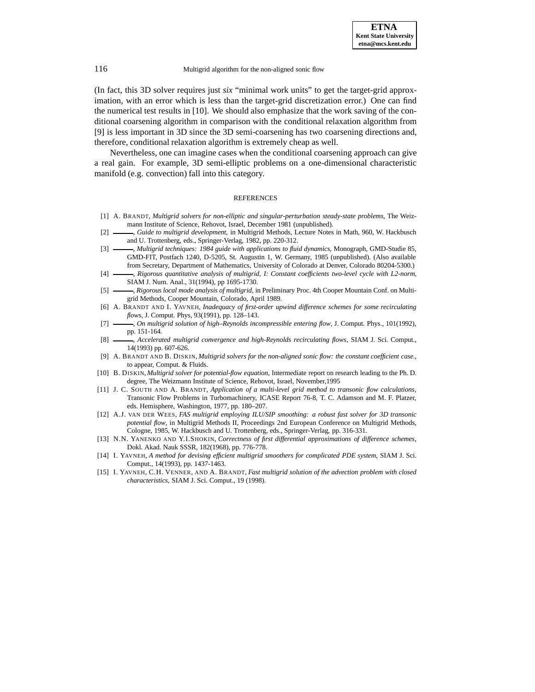(In fact, this 3D solver requires just *six* "minimal work units" to get the target-grid approximation, with an error which is less than the target-grid discretization error.) One can find the numerical test results in [10]. We should also emphasize that the work saving of the conditional coarsening algorithm in comparison with the conditional relaxation algorithm from [9] is less important in 3D since the 3D semi-coarsening has two coarsening directions and, therefore, conditional relaxation algorithm is extremely cheap as well.

Nevertheless, one can imagine cases when the conditional coarsening approach can give a real gain. For example, 3D semi-elliptic problems on a one-dimensional characteristic manifold (e.g. convection) fall into this category.

## REFERENCES

- [1] A. BRANDT, *Multigrid solvers for non-elliptic and singular-perturbation steady-state problems*, The Weizmann Institute of Science, Rehovot, Israel, December 1981 (unpublished).
- [2]  $\rightarrow$  *Guide to multigrid development*, in Multigrid Methods, Lecture Notes in Math, 960, W. Hackbusch and U. Trottenberg, eds., Springer-Verlag, 1982, pp. 220-312.
- [3] , *Multigrid techniques: 1984 guide with applications to fluid dynamics*, Monograph, GMD-Studie 85, GMD-FIT, Postfach 1240, D-5205, St. Augustin 1, W. Germany, 1985 (unpublished). (Also available from Secretary, Department of Mathematics, University of Colorado at Denver, Colorado 80204-5300.)
- [4] , *Rigorous quantitative analysis of multigrid, I: Constant coefficients two-level cycle with L2-norm*, SIAM J. Num. Anal., 31(1994), pp 1695-1730.
- [5] , *Rigorous local mode analysis of multigrid*, in Preliminary Proc. 4th Cooper Mountain Conf. on Multigrid Methods, Cooper Mountain, Colorado, April 1989.
- [6] A. BRANDT AND I. YAVNEH, *Inadequacy of first-order upwind difference schemes for some recirculating flows*, J. Comput. Phys, 93(1991), pp. 128–143.
- [7]  $\rightarrow$  *On multigrid solution of high–Reynolds incompressible entering flow, J. Comput. Phys., 101(1992),* pp. 151-164.
- [8] , *Accelerated multigrid convergence and high-Reynolds recirculating flows*, SIAM J. Sci. Comput., 14(1993) pp. 607-626.
- [9] A. BRANDT AND B. DISKIN, *Multigrid solvers for the non-aligned sonic flow: the constant coefficient case.*, to appear, Comput. & Fluids.
- [10] B. DISKIN, *Multigrid solver for potential-flow equation*, Intermediate report on research leading to the Ph. D. degree, The Weizmann Institute of Science, Rehovot, Israel, November,1995
- [11] J. C. SOUTH AND A. BRANDT, *Application of a multi-level grid method to transonic flow calculations*, Transonic Flow Problems in Turbomachinery, ICASE Report 76-8, T. C. Adamson and M. F. Platzer, eds. Hemisphere, Washington, 1977, pp. 180–207.
- [12] A.J. VAN DER WEES, *FAS multigrid employing ILU/SIP smoothing: a robust fast solver for 3D transonic potential flow*, in Multigrid Methods II, Proceedings 2nd European Conference on Multigrid Methods, Cologne, 1985, W. Hackbusch and U. Trottenberg, eds., Springer-Verlag, pp. 316-331.
- [13] N.N. YANENKO AND Y.I.SHOKIN, *Correctness of first differential approximations of difference schemes*, Dokl. Akad. Nauk SSSR, 182(1968), pp. 776-778.
- [14] I. YAVNEH, *A method for devising efficient multigrid smoothers for complicated PDE system*, SIAM J. Sci. Comput., 14(1993), pp. 1437-1463.
- [15] I. YAVNEH, C.H. VENNER, AND A. BRANDT, *Fast multigrid solution of the advection problem with closed characteristics*, SIAM J. Sci. Comput., 19 (1998).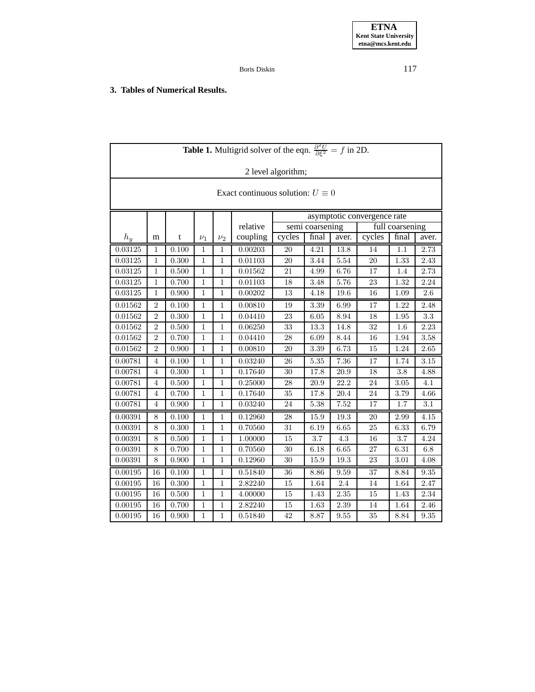## **3. Tables of Numerical Results.**

| <b>Table 1.</b> Multigrid solver of the eqn. $\frac{\partial^2 U}{\partial \xi^2} = f$ in 2D. |                  |       |              |              |          |                                    |       |          |        |       |          |  |  |  |  |
|-----------------------------------------------------------------------------------------------|------------------|-------|--------------|--------------|----------|------------------------------------|-------|----------|--------|-------|----------|--|--|--|--|
| 2 level algorithm;                                                                            |                  |       |              |              |          |                                    |       |          |        |       |          |  |  |  |  |
| Exact continuous solution: $U \equiv 0$                                                       |                  |       |              |              |          |                                    |       |          |        |       |          |  |  |  |  |
|                                                                                               |                  |       |              |              |          | asymptotic convergence rate        |       |          |        |       |          |  |  |  |  |
|                                                                                               |                  |       |              |              | relative | full coarsening<br>semi coarsening |       |          |        |       |          |  |  |  |  |
| $h_y$                                                                                         | m                | t     | $\nu_1$      | $\nu_2$      | coupling | cycles                             | final | aver.    | cycles | final | aver.    |  |  |  |  |
| 0.03125                                                                                       | 1                | 0.100 | 1            | 1            | 0.00203  | 20                                 | 4.21  | 13.8     | 14     | 1.1   | 2.73     |  |  |  |  |
| 0.03125                                                                                       | 1                | 0.300 | 1            | 1            | 0.01103  | 20                                 | 3.44  | 5.54     | 20     | 1.33  | 2.43     |  |  |  |  |
| 0.03125                                                                                       | 1                | 0.500 | 1            | 1            | 0.01562  | 21                                 | 4.99  | 6.76     | 17     | 1.4   | 2.73     |  |  |  |  |
| 0.03125                                                                                       | $\,1\,$          | 0.700 | $\mathbf{1}$ | $\mathbf{1}$ | 0.01103  | 18                                 | 3.48  | 5.76     | 23     | 1.32  | 2.24     |  |  |  |  |
| 0.03125                                                                                       | $\mathbf{1}$     | 0.900 | $\mathbf{1}$ | $\mathbf{1}$ | 0.00202  | 13                                 | 4.18  | 19.6     | 16     | 1.09  | 2.6      |  |  |  |  |
| 0.01562                                                                                       | $\boldsymbol{2}$ | 0.100 | $\mathbf 1$  | $\mathbf{1}$ | 0.00810  | 19                                 | 3.39  | 6.99     | 17     | 1.22  | 2.48     |  |  |  |  |
| 0.01562                                                                                       | $\overline{2}$   | 0.300 | $\mathbf{1}$ | $\mathbf{1}$ | 0.04410  | 23                                 | 6.05  | 8.94     | 18     | 1.95  | 3.3      |  |  |  |  |
| 0.01562                                                                                       | $\overline{2}$   | 0.500 | $\mathbf{1}$ | $\mathbf{1}$ | 0.06250  | 33                                 | 13.3  | 14.8     | 32     | 1.6   | 2.23     |  |  |  |  |
| 0.01562                                                                                       | $\sqrt{2}$       | 0.700 | 1            | 1            | 0.04410  | 28                                 | 6.09  | 8.44     | 16     | 1.94  | $3.58\,$ |  |  |  |  |
| 0.01562                                                                                       | $\sqrt{2}$       | 0.900 | $\mathbf 1$  | $\mathbf{1}$ | 0.00810  | 20                                 | 3.39  | 6.73     | 15     | 1.24  | 2.65     |  |  |  |  |
| 0.00781                                                                                       | 4                | 0.100 | 1            | $\mathbf 1$  | 0.03240  | 26                                 | 5.35  | 7.36     | 17     | 1.74  | 3.15     |  |  |  |  |
| 0.00781                                                                                       | 4                | 0.300 | 1            | 1            | 0.17640  | 30                                 | 17.8  | 20.9     | 18     | 3.8   | 4.88     |  |  |  |  |
| 0.00781                                                                                       | $\overline{4}$   | 0.500 | $\mathbf{1}$ | $\mathbf{1}$ | 0.25000  | 28                                 | 20.9  | 22.2     | 24     | 3.05  | 4.1      |  |  |  |  |
| 0.00781                                                                                       | 4                | 0.700 | $\mathbf{1}$ | $\mathbf{1}$ | 0.17640  | 35                                 | 17.8  | 20.4     | 24     | 3.79  | 4.66     |  |  |  |  |
| 0.00781                                                                                       | 4                | 0.900 | 1            | $\mathbf{1}$ | 0.03240  | 24                                 | 5.38  | 7.52     | 17     | 1.7   | 3.1      |  |  |  |  |
| 0.00391                                                                                       | $\,8\,$          | 0.100 | 1            | 1            | 0.12960  | 28                                 | 15.9  | 19.3     | 20     | 2.99  | 4.15     |  |  |  |  |
| 0.00391                                                                                       | 8                | 0.300 | 1            | $\mathbf 1$  | 0.70560  | 31                                 | 6.19  | 6.65     | 25     | 6.33  | 6.79     |  |  |  |  |
| 0.00391                                                                                       | $8\,$            | 0.500 | $\mathbf{1}$ | $\mathbf{1}$ | 1.00000  | 15                                 | 3.7   | 4.3      | 16     | 3.7   | 4.24     |  |  |  |  |
| 0.00391                                                                                       | $\,8\,$          | 0.700 | $\mathbf{1}$ | $\mathbf{1}$ | 0.70560  | 30                                 | 6.18  | 6.65     | 27     | 6.31  | 6.8      |  |  |  |  |
| 0.00391                                                                                       | 8                | 0.900 | $\mathbf{1}$ | $\mathbf{1}$ | 0.12960  | 30                                 | 15.9  | $19.3\,$ | 23     | 3.01  | 4.08     |  |  |  |  |
| 0.00195                                                                                       | 16               | 0.100 | 1            | 1            | 0.51840  | 36                                 | 8.86  | 9.59     | 37     | 8.84  | 9.35     |  |  |  |  |
| 0.00195                                                                                       | 16               | 0.300 | $\mathbf 1$  | $\mathbf{1}$ | 2.82240  | 15                                 | 1.64  | $2.4\,$  | 14     | 1.64  | 2.47     |  |  |  |  |
| 0.00195                                                                                       | 16               | 0.500 | $\mathbf{1}$ | $\mathbf{1}$ | 4.00000  | 15                                 | 1.43  | 2.35     | 15     | 1.43  | 2.34     |  |  |  |  |
| 0.00195                                                                                       | 16               | 0.700 | $\mathbf{1}$ | $\mathbf{1}$ | 2.82240  | 15                                 | 1.63  | 2.39     | 14     | 1.64  | 2.46     |  |  |  |  |
| 0.00195                                                                                       | 16               | 0.900 | $\mathbf 1$  | $\mathbf{1}$ | 0.51840  | 42                                 | 8.87  | 9.55     | 35     | 8.84  | 9.35     |  |  |  |  |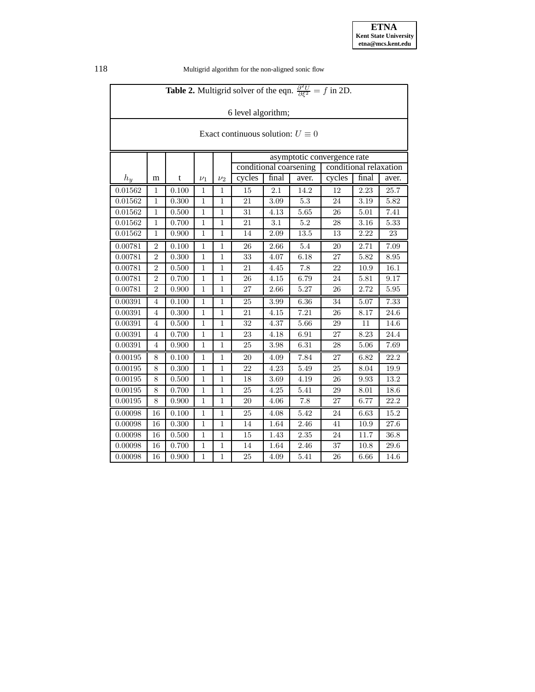| <b>Table 2.</b> Multigrid solver of the eqn. $\frac{\partial^2 U}{\partial \xi^2} = f$ in 2D. |                |       |              |                |                                                                                 |       |          |                          |      |        |  |  |  |
|-----------------------------------------------------------------------------------------------|----------------|-------|--------------|----------------|---------------------------------------------------------------------------------|-------|----------|--------------------------|------|--------|--|--|--|
| 6 level algorithm;                                                                            |                |       |              |                |                                                                                 |       |          |                          |      |        |  |  |  |
|                                                                                               |                |       |              |                |                                                                                 |       |          |                          |      |        |  |  |  |
| Exact continuous solution: $U \equiv 0$                                                       |                |       |              |                |                                                                                 |       |          |                          |      |        |  |  |  |
|                                                                                               |                |       |              |                |                                                                                 |       |          |                          |      |        |  |  |  |
|                                                                                               |                |       |              |                | asymptotic convergence rate<br>conditional coarsening<br>conditional relaxation |       |          |                          |      |        |  |  |  |
| $h_y$                                                                                         | m              | t     | $\nu_1$      | $\nu_2$        | cycles                                                                          | final | aver.    | cycles<br>final<br>aver. |      |        |  |  |  |
| 0.01562                                                                                       | 1              | 0.100 | 1            | 1              | 15                                                                              | 2.1   | 14.2     | 12                       | 2.23 | 25.7   |  |  |  |
| 0.01562                                                                                       | $\mathbf{1}$   | 0.300 | 1            | 1              | 21                                                                              | 3.09  | 5.3      | 24                       | 3.19 | 5.82   |  |  |  |
| 0.01562                                                                                       | $\,1\,$        | 0.500 | $\,1$        | $\mathbf{1}$   | 31                                                                              | 4.13  | 5.65     | 26                       | 5.01 | 7.41   |  |  |  |
| 0.01562                                                                                       | $\mathbf{1}$   | 0.700 | $\mathbf{1}$ | $\mathbf{1}$   | 21                                                                              | 3.1   | 5.2      | 28                       | 3.16 | 5.33   |  |  |  |
| 0.01562                                                                                       | $\mathbf{1}$   | 0.900 | $\mathbf{1}$ | $\mathbf{1}$   | 14                                                                              | 2.09  | $13.5\,$ | 13                       | 2.22 | $23\,$ |  |  |  |
| 0.00781                                                                                       | $\overline{2}$ | 0.100 | 1            | $\mathbf{1}$   | 26                                                                              | 2.66  | 5.4      | 20                       | 2.71 | 7.09   |  |  |  |
| 0.00781                                                                                       | $\overline{2}$ | 0.300 | $\mathbf{1}$ | $\mathbf{1}$   | 33                                                                              | 4.07  | 6.18     | 27                       | 5.82 | 8.95   |  |  |  |
| 0.00781                                                                                       | $\overline{2}$ | 0.500 | $\mathbf{1}$ | $\mathbf{1}$   | 21                                                                              | 4.45  | 7.8      | 22                       | 10.9 | 16.1   |  |  |  |
| 0.00781                                                                                       | $\overline{2}$ | 0.700 | $\mathbf{1}$ | $\mathbf{1}$   | 26                                                                              | 4.15  | 6.79     | 24                       | 5.81 | 9.17   |  |  |  |
| 0.00781                                                                                       | $\overline{2}$ | 0.900 | 1            | $\mathbf{1}$   | 27                                                                              | 2.66  | 5.27     | 26                       | 2.72 | 5.95   |  |  |  |
| 0.00391                                                                                       | 4              | 0.100 | 1            | 1              | 25                                                                              | 3.99  | 6.36     | 34                       | 5.07 | 7.33   |  |  |  |
| 0.00391                                                                                       | $\overline{4}$ | 0.300 | $\mathbf{1}$ | $\mathbf{1}$   | 21                                                                              | 4.15  | 7.21     | 26                       | 8.17 | 24.6   |  |  |  |
| 0.00391                                                                                       | $\overline{4}$ | 0.500 | $\mathbf{1}$ | $\mathbf 1$    | 32                                                                              | 4.37  | 5.66     | 29                       | 11   | 14.6   |  |  |  |
| 0.00391                                                                                       | $\overline{4}$ | 0.700 | $\mathbf{1}$ | $\mathbf{1}$   | 23                                                                              | 4.18  | 6.91     | 27                       | 8.23 | 24.4   |  |  |  |
| 0.00391                                                                                       | 4              | 0.900 | $\mathbf{1}$ | 1              | 25                                                                              | 3.98  | 6.31     | 28                       | 5.06 | 7.69   |  |  |  |
| 0.00195                                                                                       | 8              | 0.100 | 1            | $\mathbf{1}$   | 20                                                                              | 4.09  | 7.84     | 27                       | 6.82 | 22.2   |  |  |  |
| 0.00195                                                                                       | 8              | 0.300 | $\mathbf{1}$ | $\mathbf{1}$   | 22                                                                              | 4.23  | 5.49     | 25                       | 8.04 | 19.9   |  |  |  |
| 0.00195                                                                                       | 8              | 0.500 | $\,1$        | $\mathbf{1}$   | 18                                                                              | 3.69  | 4.19     | 26                       | 9.93 | 13.2   |  |  |  |
| 0.00195                                                                                       | 8              | 0.700 | $\,1$        | $\mathbf{1}$   | 25                                                                              | 4.25  | 5.41     | 29                       | 8.01 | 18.6   |  |  |  |
| 0.00195                                                                                       | 8              | 0.900 | $\mathbf{1}$ | $\mathbf{1}$   | 20                                                                              | 4.06  | 7.8      | 27                       | 6.77 | 22.2   |  |  |  |
| 0.00098                                                                                       | 16             | 0.100 | 1            | $\mathbf{1}$   | 25                                                                              | 4.08  | 5.42     | 24                       | 6.63 | 15.2   |  |  |  |
| 0.00098                                                                                       | 16             | 0.300 | $\mathbf{1}$ | $\mathbf{1}$   | 14                                                                              | 1.64  | 2.46     | 41                       | 10.9 | 27.6   |  |  |  |
| 0.00098                                                                                       | 16             | 0.500 | $\mathbf{1}$ | $\mathbf{1}$   | 15                                                                              | 1.43  | 2.35     | 24                       | 11.7 | 36.8   |  |  |  |
| 0.00098                                                                                       | 16             | 0.700 | $\mathbf{1}$ | 1              | 14                                                                              | 1.64  | 2.46     | 37                       | 10.8 | 29.6   |  |  |  |
| 0.00098                                                                                       | 16             | 0.900 | $\mathbf{1}$ | $\overline{1}$ | 25                                                                              | 4.09  | 5.41     | 26                       | 6.66 | 14.6   |  |  |  |